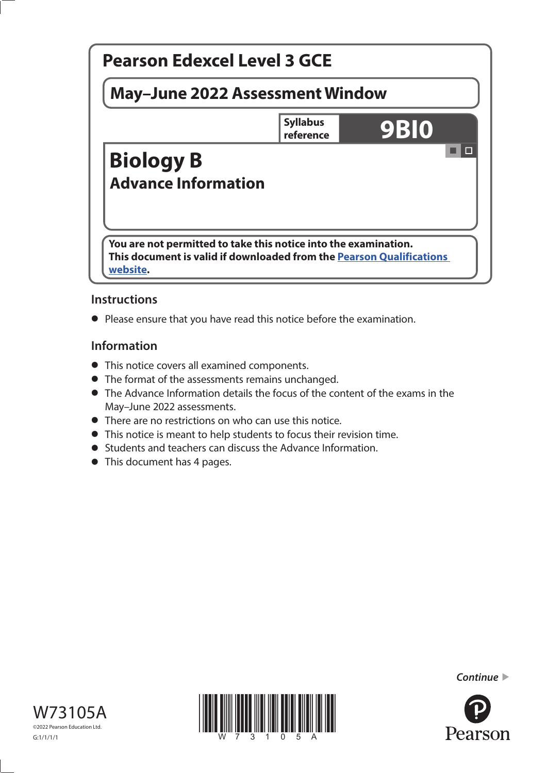

# **Instructions**

**•** Please ensure that you have read this notice before the examination.

# **Information**

- This notice covers all examined components.
- The format of the assessments remains unchanged.
- The Advance Information details the focus of the content of the exams in the May–June 2022 assessments.
- There are no restrictions on who can use this notice.
- This notice is meant to help students to focus their revision time.
- Students and teachers can discuss the Advance Information.
- This document has 4 pages.







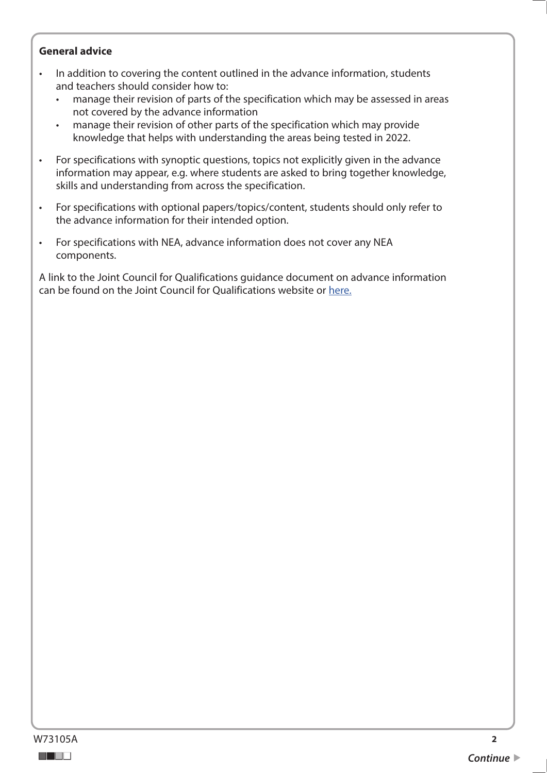## **General advice**

- In addition to covering the content outlined in the advance information, students and teachers should consider how to:
	- manage their revision of parts of the specification which may be assessed in areas not covered by the advance information
	- manage their revision of other parts of the specification which may provide knowledge that helps with understanding the areas being tested in 2022.
- For specifications with synoptic questions, topics not explicitly given in the advance information may appear, e.g. where students are asked to bring together knowledge, skills and understanding from across the specification.
- For specifications with optional papers/topics/content, students should only refer to the advance information for their intended option.
- For specifications with NEA, advance information does not cover any NEA components.

A link to the Joint Council for Qualifications guidance document on advance information can be found on the Joint Council for Qualifications website or [here.](https://www.jcq.org.uk/wp-content/uploads/2021/10/Advance-Information-for-General-Qualifications-2021-22.pdf)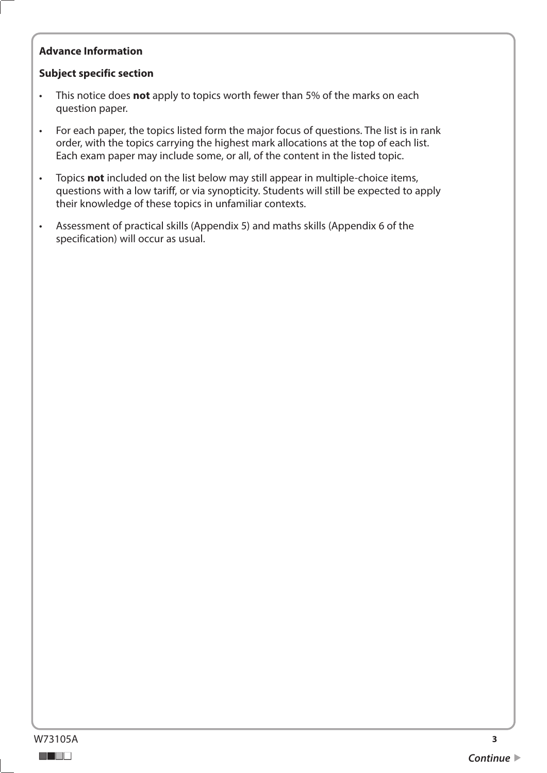# **Advance Information**

## **Subject specific section**

- This notice does **not** apply to topics worth fewer than 5% of the marks on each question paper.
- For each paper, the topics listed form the major focus of questions. The list is in rank order, with the topics carrying the highest mark allocations at the top of each list. Each exam paper may include some, or all, of the content in the listed topic.
- Topics **not** included on the list below may still appear in multiple-choice items, questions with a low tariff, or via synopticity. Students will still be expected to apply their knowledge of these topics in unfamiliar contexts.
- Assessment of practical skills (Appendix 5) and maths skills (Appendix 6 of the specification) will occur as usual.